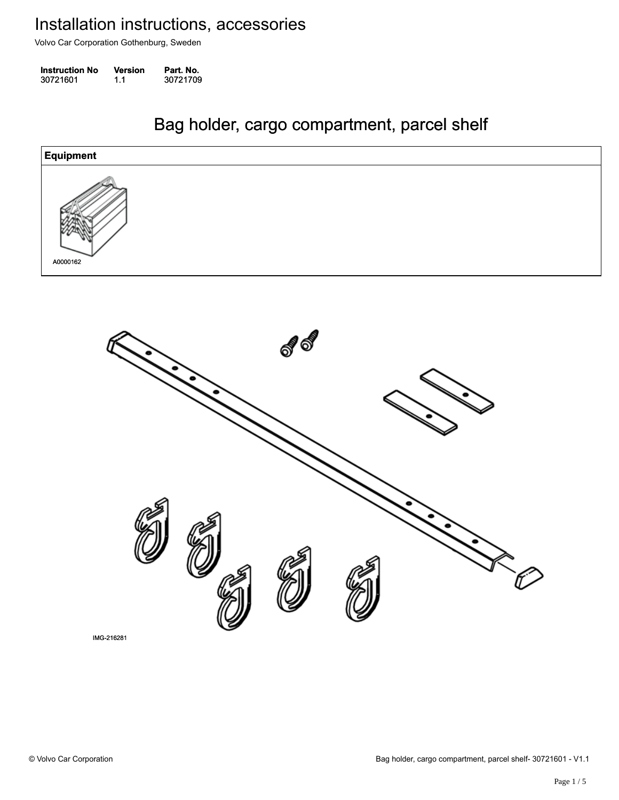Volvo Car Corporation Gothenburg, Sweden

| <b>Instruction No</b> | Version | Part. No. |
|-----------------------|---------|-----------|
| 30721601              | 1.1     | 30721709  |

### Bag holder, cargo compartment, parcel shelf Bag holder, cargo compartment, parcel shelf



IMG-216281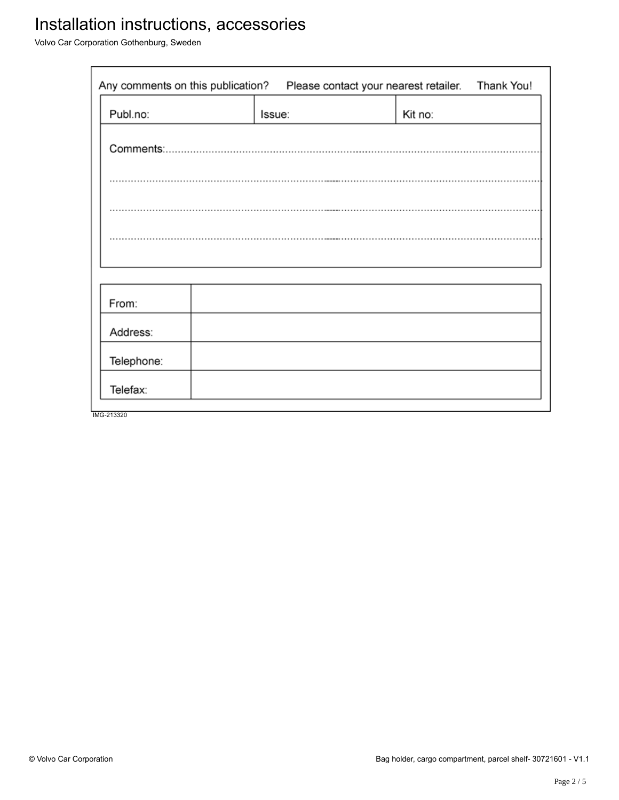# Installation instructions, accessories

Volvo Car Corporation Gothenburg, Sweden

| Any comments on this publication?<br>Please contact your nearest retailer. |  |        | Thank You! |  |
|----------------------------------------------------------------------------|--|--------|------------|--|
| Publ.no:                                                                   |  | Issue: | Kit no:    |  |
|                                                                            |  |        |            |  |
|                                                                            |  |        |            |  |
|                                                                            |  |        |            |  |
|                                                                            |  |        |            |  |
|                                                                            |  |        |            |  |
| From:                                                                      |  |        |            |  |
| Address:                                                                   |  |        |            |  |
| Telephone:                                                                 |  |        |            |  |
| Telefax:                                                                   |  |        |            |  |
| IMG-213320                                                                 |  |        |            |  |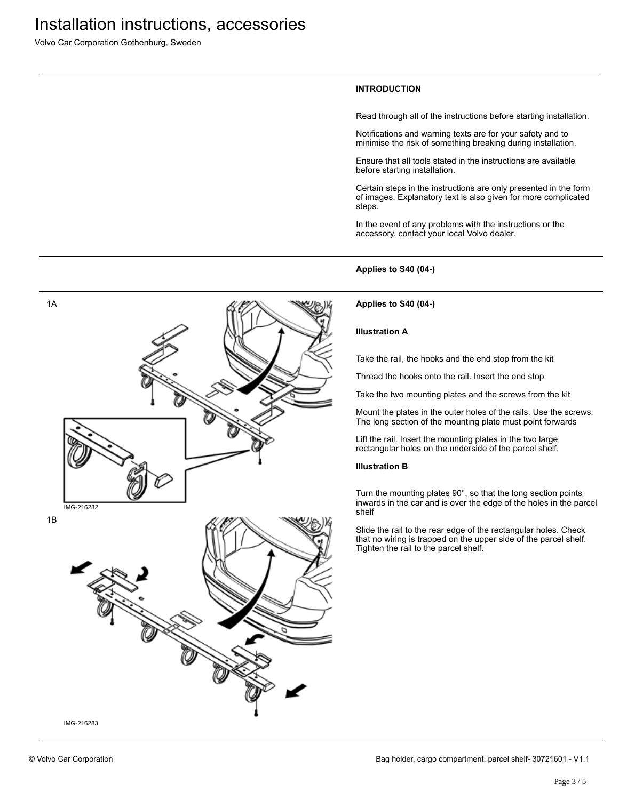Volvo Car Corporation Gothenburg, Sweden

### **INTRODUCTION**

Read through all of the instructions before starting installation.

Notifications and warning texts are for your safety and to minimise the risk of something breaking during installation.

Ensure that all tools stated in the instructions are available before starting installation.

Certain steps in the instructions are only presented in the form of images. Explanatory text is also given for more complicated steps.

In the event of any problems with the instructions or the accessory, contact your local Volvo dealer.

### **Applies to S40 (04-)**

#### **Applies to S40 (04-)**

### **Illustration A**

Take the rail, the hooks and the end stop from the kit

Thread the hooks onto the rail. Insert the end stop

Take the two mounting plates and the screws from the kit

Mount the plates in the outer holes of the rails. Use the screws. The long section of the mounting plate must point forwards

Lift the rail. Insert the mounting plates in the two large rectangular holes on the underside of the parcel shelf.

### **Illustration B**

Turn the mounting plates 90°, so that the long section points inwards in the car and is over the edge of the holes in the parcel shelf

Slide the rail to the rear edge of the rectangular holes. Check that no wiring is trapped on the upper side of the parcel shelf. Tighten the rail to the parcel shelf.



1A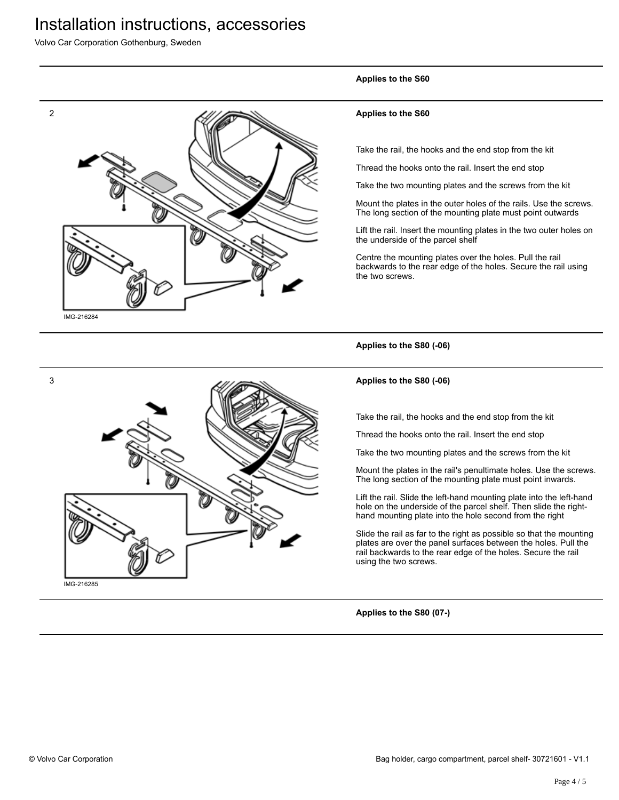### Installation instructions, accessories

Volvo Car Corporation Gothenburg, Sweden



### **Applies to the S60**

### **Applies to the S60**

Take the rail, the hooks and the end stop from the kit

Thread the hooks onto the rail. Insert the end stop

Take the two mounting plates and the screws from the kit

Mount the plates in the outer holes of the rails. Use the screws. The long section of the mounting plate must point outwards

Lift the rail. Insert the mounting plates in the two outer holes on the underside of the parcel shelf

Centre the mounting plates over the holes. Pull the rail backwards to the rear edge of the holes. Secure the rail using the two screws.

**Applies to the S80 (-06)**



### **Applies to the S80 (-06)**

Take the rail, the hooks and the end stop from the kit

Thread the hooks onto the rail. Insert the end stop

Take the two mounting plates and the screws from the kit

Mount the plates in the rail's penultimate holes. Use the screws. The long section of the mounting plate must point inwards.

Lift the rail. Slide the left-hand mounting plate into the left-hand hole on the underside of the parcel shelf. Then slide the righthand mounting plate into the hole second from the right

Slide the rail as far to the right as possible so that the mounting plates are over the panel surfaces between the holes. Pull the rail backwards to the rear edge of the holes. Secure the rail using the two screws.

**Applies to the S80 (07-)**